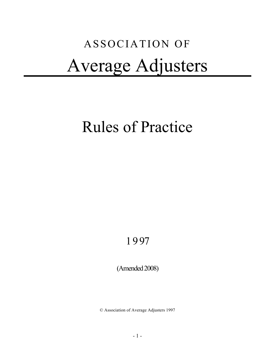# ASSOCIATION OF Average Adjusters

# Rules of Practice

# 1 997

(Amended 2008)

© Association of Average Adjusters 1997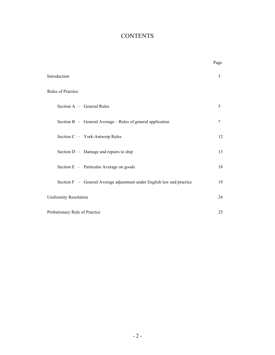# **CONTENTS**

|                                                                       | Page           |
|-----------------------------------------------------------------------|----------------|
| Introduction                                                          | 3              |
| Rules of Practice:                                                    |                |
| Section A - General Rules                                             | 5              |
| Section B - General Average - Rules of general application            | $\overline{7}$ |
| Section C - York-Antwerp Rules                                        | 12             |
| Section $D -$ Damage and repairs to ship                              | 13             |
| Section E - Particular Average on goods                               | 18             |
| Section F - General Average adjustment under English law and practice | 19             |
| Uniformity Resolution                                                 | 24             |
| Probationary Rule of Practice                                         | 25             |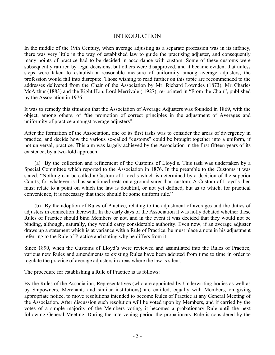# INTRODUCTION

In the middle of the 19th Century, when average adjusting as a separate profession was in its infancy, there was very little in the way of established law to guide the practising adjuster, and consequently many points of practice had to be decided in accordance with custom. Some of these customs were subsequently ratified by legal decisions, but others were disapproved, and it became evident that unless steps were taken to establish a reasonable measure of uniformity among average adjusters, the profession would fall into disrepute. Those wishing to read further on this topic are recommended to the addresses delivered from the Chair of the Association by Mr. Richard Lowndes (1873), Mr. Charles McArthur (1883) and the Right Hon. Lord Merrivale ( 1927), re- printed in "From the Chair", published by the Association in 1976.

It was to remedy this situation that the Association of Average Adjusters was founded in 1869, with the object, among others, of "the promotion of correct principles in the adjustment of Averages and uniformity of practice amongst average adjusters".

After the formation of the Association, one of its first tasks was to consider the areas of divergency in practice, and decide how the various so-called "customs" could be brought together into a uniform, if not universal, practice. This aim was largely achieved by the Association in the first fifteen years of its existence, by a two-fold approach:

(a) By the collection and refinement of the Customs of Lloyd's. This task was undertaken by a Special Committee which reported to the Association in 1876. In the preamble to the Customs it was stated: "Nothing can be called a Custom of Lloyd's which is determined by a decision of the superior Courts; for whatever is thus sanctioned rests on a ground surer than custom. A Custom of Lloyd's then must relate to a point on which the law is doubtful, or not yet defined, but as to which, for practical convenience, it is necessary that there should be some uniform rule."

(b) By the adoption of Rules of Practice, relating to the adjustment of averages and the duties of adjusters in connection therewith. In the early days of the Association it was hotly debated whether these Rules of Practice should bind Members or not, and in the event it was decided that they would not be binding, although, naturally, they would carry considerable authority. Even now, if an average adjuster draws up a statement which is at variance with a Rule of Practice, he must place a note in his adjustment referring to the Rule of Practice and stating why he differs from it.

Since 1890, when the Customs of Lloyd's were reviewed and assimilated into the Rules of Practice, various new Rules and amendments to existing Rules have been adopted from time to time in order to regulate the practice of average adjusters in areas where the law is silent.

The procedure for establishing a Rule of Practice is as follows:

By the Rules of the Association, Representatives (who are appointed by Underwriting bodies as well as by Shipowners, Merchants and similar institutions) are entitled, equally with Members, on giving appropriate notice, to move resolutions intended to become Rules of Practice at any General Meeting of the Association. After discussion such resolution will be voted upon by Members, and if carried by the votes of a simple majority of the Members voting, it becomes a probationary Rule until the next following General Meeting. During the intervening period the probationary Rule is considered by the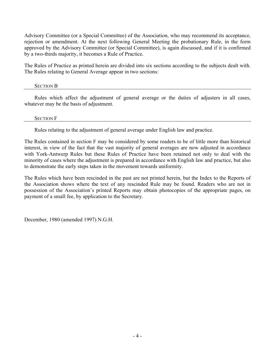Advisory Committee (or a Special Committee) of the Association, who may recommend its acceptance, rejection or amendment. At the next following General Meeting the probationary Rule, in the form approved by the Advisory Committee (or Special Committee), is again discussed, and if it is confirmed by a two-thirds majority, it becomes a Rule of Practice.

The Rules of Practice as printed herein are divided into six sections according to the subjects dealt with. The Rules relating to General Average appear in two sections:

SECTION B

Rules which affect the adjustment of general average or the duties of adjusters in all cases, whatever may be the basis of adjustment.

SECTION F

Rules relating to the adjustment of general average under English law and practice.

The Rules contained in section F may be considered by some readers to be of little more than historical interest, in view of the fact that the vast majority of general averages are now adjusted in accordance with York-Antwerp Rules but these Rules of Practice have been retained not only to deal with the minority of cases where the adjustment is prepared in accordance with English law and practice, but also to demonstrate the early steps taken in the movement towards uniformity.

The Rules which have been rescinded in the past are not printed herein, but the Index to the Reports of the Association shows where the text of any rescinded Rule may be found. Readers who are not in possession of the Association's printed Reports may obtain photocopies of the appropriate pages, on payment of a small fee, by application to the Secretary.

December, 1980 (amended 1997) N.G.H.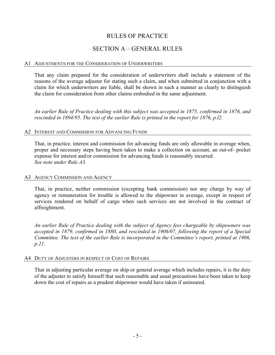# RULES OF PRACTICE

# SECTION A – GENERAL RULES

# A1 ADJUSTMENTS FOR THE CONSIDERATION OF UNDERWRITERS

That any claim prepared for the consideration of underwriters shall include a statement of the reasons of the average adjuster for stating such a claim, and when submitted in conjunction with a claim for which underwriters are liable, shall be shown in such a manner as clearly to distinguish the claim for consideration from other claims embodied in the same adjustment.

*An earlier Rule of Practice dealing with this subject was accepted in 1875, confirmed in 1876, and rescinded in 1894/95. The text of the earlier Rule is printed in the report for 1876, p.l2.*

# A2 INTEREST AND COMMISSION FOR ADVANCING FUNDS

That, in practice, interest and commission for advancing funds are only allowable in average when, proper and necessary steps having been taken to make a collection on account, an out-of- pocket expense for interest and/or commission for advancing funds is reasonably incurred. *See note under Rule A3.*

# A3 AGENCY COMMISSION AND AGENCY

That, in practice, neither commission (excepting bank commission) nor any charge by way of agency or remuneration for trouble is allowed to the shipowner in average, except in respect of services rendered on behalf of cargo when such services are not involved in the contract of affreightment.

*An earlier Rule of Practice dealing with the subject of Agency fees chargeable by shipowners was accepted in 1879, confirmed in 1880, and rescinded in 1906/07, following the report of a Special Committee. The text of the earlier Rule is incorporated in the Committee's report, printed at 1906, p.21.*

# A4 DUTY OF ADJUSTERS IN RESPECT OF COST OF REPAIRS

That in adjusting particular average on ship or general average which includes repairs, it is the duty of the adjuster to satisfy himself that such reasonable and usual precautions have been taken to keep down the cost of repairs as a prudent shipowner would have taken if uninsured.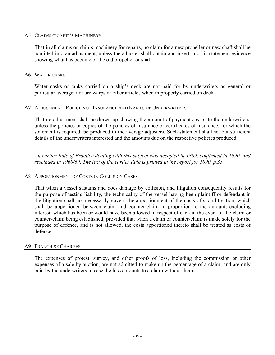# A5 CLAIMS ON SHIP'S MACHINERY

That in all claims on ship's machinery for repairs, no claim for a new propeller or new shaft shall be admitted into an adjustment, unless the adjuster shall obtain and insert into his statement evidence showing what has become of the old propeller or shaft.

# A6 WATER CASKS

Water casks or tanks carried on a ship's deck are not paid for by underwriters as general or particular average; nor are warps or other articles when improperly carried on deck.

# A7 ADJUSTMENT: POLICIES OF INSURANCE AND NAMES OF UNDERWRITERS

That no adjustment shall be drawn up showing the amount of payments by or to the underwriters, unless the policies or copies of the policies of insurance or certificates of insurance, for which the statement is required, be produced to the average adjusters. Such statement shall set out sufficient details of the underwriters interested and the amounts due on the respective policies produced.

*An earlier Rule of Practice dealing with this subject was accepted in 1889, confirmed in 1890, and rescinded in 1968/69. The text of the earlier Rule is printed in the report for 1890, p.33.*

# A8 APPORTIONMENT OF COSTS IN COLLISION CASES

That when a vessel sustains and does damage by collision, and litigation consequently results for the purpose of testing liability, the technicality of the vessel having been plaintiff or defendant in the litigation shall not necessarily govern the apportionment of the costs of such litigation, which shall be apportioned between claim and counter-claim in proportion to the amount, excluding interest, which has been or would have been allowed in respect of each in the event of the claim or counter-claim being established; provided that when a claim or counter-claim is made solely for the purpose of defence, and is not allowed, the costs apportioned thereto shall be treated as costs of defence.

#### A9 FRANCHISE CHARGES

The expenses of protest, survey, and other proofs of loss, including the commission or other expenses of a sale by auction, are not admitted to make up the percentage of a claim; and are only paid by the underwriters in case the loss amounts to a claim without them.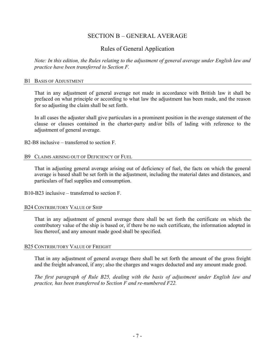# SECTION B – GENERAL AVERAGE

# Rules of General Application

*Note: In this edition, the Rules relating to the adjustment of general average under English law and practice have been transferred to Section F.*

#### B1 BASIS OF ADJUSTMENT

That in any adjustment of general average not made in accordance with British law it shall be prefaced on what principle or according to what law the adjustment has been made, and the reason for so adjusting the claim shall be set forth.

In all cases the adjuster shall give particulars in a prominent position in the average statement of the clause or clauses contained in the charter-party and/or bills of lading with reference to the adjustment of general average.

B2-B8 inclusive – transferred to section F.

# B9 CLAIMS ARISING OUT OF DEFICIENCY OF FUEL

That in adjusting general average arising out of deficiency of fuel, the facts on which the general average is based shall be set forth in the adjustment, including the material dates and distances, and particulars of fuel supplies and consumption.

B10-B23 inclusive – transferred to section F.

#### B24 CONTRIBUTORY VALUE OF SHIP

That in any adjustment of general average there shall be set forth the certificate on which the contributory value of the ship is based or, if there be no such certificate, the information adopted in lieu thereof, and any amount made good shall be specified.

#### B25 CONTRIBUTORY VALUE OF FREIGHT

That in any adjustment of general average there shall be set forth the amount of the gross freight and the freight advanced, if any; also the charges and wages deducted and any amount made good.

*The first paragraph of Rule B25, dealing with the basis of adjustment under English law and practice, has been transferred to Section F and re-numbered F22.*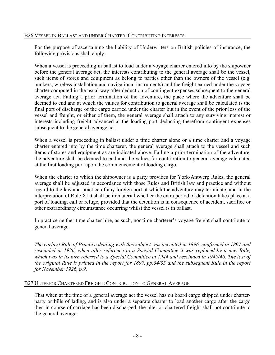# B26 VESSEL IN BALLAST AND UNDER CHARTER: CONTRIBUTING INTERESTS

For the purpose of ascertaining the liability of Underwriters on British policies of insurance, the following provisions shall apply:-

When a vessel is proceeding in ballast to load under a voyage charter entered into by the shipowner before the general average act, the interests contributing to the general average shall be the vessel, such items of stores and equipment as belong to parties other than the owners of the vessel (e.g. bunkers, wireless installation and navigational instruments) and the freight earned under the voyage charter computed in the usual way after deduction of contingent expenses subsequent to the general average act. Failing a prior termination of the adventure, the place where the adventure shall be deemed to end and at which the values for contribution to general average shall be calculated is the final port of discharge of the cargo carried under the charter but in the event of the prior loss of the vessel and freight, or either of them, the general average shall attach to any surviving interest or interests including freight advanced at the loading port deducting therefrom contingent expenses subsequent to the general average act.

When a vessel is proceeding in ballast under a time charter alone or a time charter and a voyage charter entered into by the time charterer, the general average shall attach to the vessel and such items of stores and equipment as are indicated above. Failing a prior termination of the adventure, the adventure shall be deemed to end and the values for contribution to general average calculated at the first loading port upon the commencement of loading cargo.

When the charter to which the shipowner is a party provides for York-Antwerp Rules, the general average shall be adjusted in accordance with those Rules and British law and practice and without regard to the law and practice of any foreign port at which the adventure may terminate; and in the interpretation of Rule XI it shall be immaterial whether the extra period of detention takes place at a port of loading, call or refuge, provided that the detention is in consequence of accident, sacrifice or other extraordinary circumstance occurring whilst the vessel is in ballast.

In practice neither time charter hire, as such, nor time charterer's voyage freight shall contribute to general average.

*The earliest Rule of Practice dealing with this subject was accepted in 1896, confirmed in 1897 and rescinded in 1926, when after reference to a Special Committee it was replaced by a new Rule, which was in its turn referred to a Special Committee in 1944 and rescinded in 1945/46. The text of the original Rule is printed in the report for 1897, pp.34/35 and the subsequent Rule in the report for November 1926, p.9.*

# B27 ULTERIOR CHARTERED FREIGHT: CONTRIBUTION TO GENERAL AVERAGE

That when at the time of a general average act the vessel has on board cargo shipped under charterparty or bills of lading, and is also under a separate charter to load another cargo after the cargo then in course of carriage has been discharged, the ulterior chartered freight shall not contribute to the general average.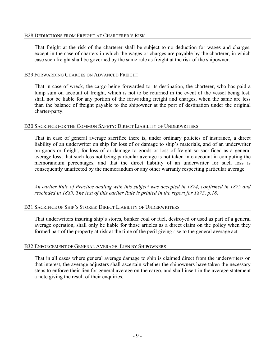# B28 DEDUCTIONS FROM FREIGHT AT CHARTERER'S RISK

That freight at the risk of the charterer shall be subject to no deduction for wages and charges, except in the case of charters in which the wages or charges are payable by the charterer, in which case such freight shall be governed by the same rule as freight at the risk of the shipowner.

# B29 FORWARDING CHARGES ON ADVANCED FREIGHT

That in case of wreck, the cargo being forwarded to its destination, the charterer, who has paid a lump sum on account of freight, which is not to be returned in the event of the vessel being lost, shall not be liable for any portion of the forwarding freight and charges, when the same are less than the balance of freight payable to the shipowner at the port of destination under the original charter-party.

# B30 SACRIFICE FOR THE COMMON SAFETY: DIRECT LIABILITY OF UNDERWRITERS

That in case of general average sacrifice there is, under ordinary policies of insurance, a direct liability of an underwriter on ship for loss of or damage to ship's materials, and of an underwriter on goods or freight, for loss of or damage to goods or loss of freight so sacrificed as a general average loss; that such loss not being particular average is not taken into account in computing the memorandum percentages, and that the direct liability of an underwriter for such loss is consequently unaffected by the memorandum or any other warranty respecting particular average.

*An earlier Rule of Practice dealing with this subject was accepted in 1874, confirmed in 1875 and rescinded in 1889. The text of this earlier Rule is printed in the report for 1875, p.18.*

# B31 SACRIFICE OF SHIP'S STORES: DIRECT LIABILITY OF UNDERWRITERS

That underwriters insuring ship's stores, bunker coal or fuel, destroyed or used as part of a general average operation, shall only be liable for those articles as a direct claim on the policy when they formed part of the property at risk at the time of the peril giving rise to the general average act.

# B32 ENFORCEMENT OF GENERAL AVERAGE: LIEN BY SHIPOWNERS

That in all cases where general average damage to ship is claimed direct from the underwriters on that interest, the average adjusters shall ascertain whether the shipowners have taken the necessary steps to enforce their lien for general average on the cargo, and shall insert in the average statement a note giving the result of their enquiries.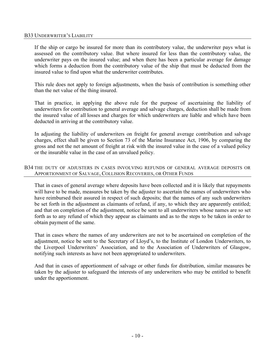# B33 UNDERWRITER'S LIABILITY

If the ship or cargo be insured for more than its contributory value, the underwriter pays what is assessed on the contributory value. But where insured for less than the contributory value, the underwriter pays on the insured value; and when there has been a particular average for damage which forms a deduction from the contributory value of the ship that must be deducted from the insured value to find upon what the underwriter contributes.

This rule does not apply to foreign adjustments, when the basis of contribution is something other than the net value of the thing insured.

That in practice, in applying the above rule for the purpose of ascertaining the liability of underwriters for contribution to general average and salvage charges, deduction shall be made from the insured value of all losses and charges for which underwriters are liable and which have been deducted in arriving at the contributory value.

In adjusting the liability of underwriters on freight for general average contribution and salvage charges, effect shall be given to Section 73 of the Marine Insurance Act, 1906, by comparing the gross and not the net amount of freight at risk with the insured value in the case of a valued policy or the insurable value in the case of an unvalued policy.

# B34 THE DUTY OF ADJUSTERS IN CASES INVOLVING REFUNDS OF GENERAL AVERAGE DEPOSITS OR APPORTIONMENT OF SALVAGE, COLLISION RECOVERIES, OR OTHER FUNDS

That in cases of general average where deposits have been collected and it is likely that repayments will have to be made, measures be taken by the adjuster to ascertain the names of underwriters who have reimbursed their assured in respect of such deposits; that the names of any such underwriters be set forth in the adjustment as claimants of refund, if any, to which they are apparently entitled; and that on completion of the adjustment, notice be sent to all underwriters whose names are so set forth as to any refund of which they appear as claimants and as to the steps to be taken in order to obtain payment of the same.

That in cases where the names of any underwriters are not to be ascertained on completion of the adjustment, notice be sent to the Secretary of Lloyd's, to the Institute of London Underwriters, to the Liverpool Underwriters' Association, and to the Association of Underwriters of Glasgow, notifying such interests as have not been appropriated to underwriters.

And that in cases of apportionment of salvage or other funds for distribution, similar measures be taken by the adjuster to safeguard the interests of any underwriters who may be entitled to benefit under the apportionment.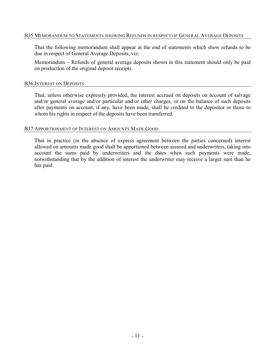# B35 MEMORANDUM TO STATEMENTS SHOWING REFUNDS IN RESPECT OF GENERAL AVERAGE DEPOSITS

That the following memorandum shall appear at the end of statements which show refunds to be due in respect of General Average Deposits, viz:

Memorandum – Refunds of general average deposits shown in this statement should only be paid on production of the original deposit receipts.

#### B36 INTEREST ON DEPOSITS

That, unless otherwise expressly provided, the interest accrued on deposits on account of salvage and/or general average and/or particular and/or other charges, or on the balance of such deposits after payments on account, if any, have been made, shall be credited to the depositor or those to whom his rights in respect of the deposits have been transferred.

# B37 APPORTIONMENT OF INTEREST ON AMOUNTS MADE GOOD

That in practice (in the absence of express agreement between the parties concerned) interest allowed on amounts made good shall be apportioned between assured and underwriters, taking into account the sums paid by underwriters and the dates when such payments were made, notwithstanding that by the addition of interest the underwriter may receive a larger sum than he has paid.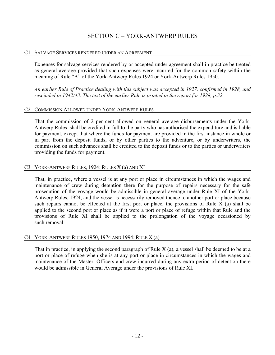# SECTION C – YORK-ANTWERP RULES

# C1 SALVAGE SERVICES RENDERED UNDER AN AGREEMENT

Expenses for salvage services rendered by or accepted under agreement shall in practice be treated as general average provided that such expenses were incurred for the common safety within the meaning of Rule "A" of the York-Antwerp Rules 1924 or York-Antwerp Rules 1950.

*An earlier Rule of Practice dealing with this subject was accepted in 1927, confirmed in 1928, and rescinded in 1942/43. The text of the earlier Rule is printed in the report for 1928, p.32.*

# C2 COMMISSION ALLOWED UNDER YORK-ANTWERP RULES

That the commission of 2 per cent allowed on general average disbursements under the York-Antwerp Rules shall be credited in full to the party who has authorised the expenditure and is liable for payment, except that where the funds for payment are provided in the first instance in whole or in part from the deposit funds, or by other parties to the adventure, or by underwriters, the commission on such advances shall be credited to the deposit funds or to the parties or underwriters providing the funds for payment.

# C3 YORK-ANTWERP RULES, 1924: RULES X (a) AND XI

That, in practice, where a vessel is at any port or place in circumstances in which the wages and maintenance of crew during detention there for the purpose of repairs necessary for the safe prosecution of the voyage would be admissible in general average under Rule XI of the York-Antwerp Rules, 1924, and the vessel is necessarily removed thence to another port or place because such repairs cannot be effected at the first port or place, the provisions of Rule  $\hat{X}$  (a) shall be applied to the second port or place as if it were a port or place of refuge within that Rule and the provisions of Rule XI shall be applied to the prolongation of the voyage occasioned by such removal.

# C4 YORK-ANTWERP RULES 1950, 1974 AND 1994: RULE X (a)

That in practice, in applying the second paragraph of Rule X (a), a vessel shall be deemed to be at a port or place of refuge when she is at any port or place in circumstances in which the wages and maintenance of the Master, Officers and crew incurred during any extra period of detention there would be admissible in General Average under the provisions of Rule XI.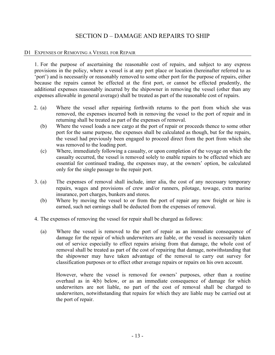# SECTION D – DAMAGE AND REPAIRS TO SHIP

# D1 EXPENSES OF REMOVING A VESSEL FOR REPAIR

1. For the purpose of ascertaining the reasonable cost of repairs, and subject to any express provisions in the policy, where a vessel is at any port place or location (hereinafter referred to as 'port') and is necessarily or reasonably removed to some other port for the purpose of repairs, either because the repairs cannot be effected at the first port, or cannot be effected prudently, the additional expenses reasonably incurred by the shipowner in removing the vessel (other than any expenses allowable in general average) shall be treated as part of the reasonable cost of repairs.

- 2. (a) Where the vessel after repairing forthwith returns to the port from which she was removed, the expenses incurred both in removing the vessel to the port of repair and in returning shall be treated as part of the expenses of removal.
	- (b) Where the vessel loads a new cargo at the port of repair or proceeds thence to some other port for the same purpose, the expenses shall be calculated as though, but for the repairs, the vessel had previously been engaged to proceed direct from the port from which she was removed to the loading port.
	- (c) Where, immediately following a casualty, or upon completion of the voyage on which the casualty occurred, the vessel is removed solely to enable repairs to be effected which are essential for continued trading, the expenses may, at the owners' option, be calculated only for the single passage to the repair port.
- 3. (a) The expenses of removal shall include, inter alia, the cost of any necessary temporary repairs, wages and provisions of crew and/or runners, pilotage, towage, extra marine insurance, port charges, bunkers and stores.
	- (b) Where by moving the vessel to or from the port of repair any new freight or hire is earned, such net earnings shall be deducted from the expenses of removal.
- 4. The expenses of removing the vessel for repair shall be charged as follows:
	- (a) Where the vessel is removed to the port of repair as an immediate consequence of damage for the repair of which underwriters are liable, or the vessel is necessarily taken out of service especially to effect repairs arising from that damage, the whole cost of removal shall be treated as part of the cost of repairing that damage, notwithstanding that the shipowner may have taken advantage of the removal to carry out survey for classification purposes or to effect other average repairs or repairs on his own account.

However, where the vessel is removed for owners' purposes, other than a routine overhaul as in 4(b) below, or as an immediate consequence of damage for which underwriters are not liable, no part of the cost of removal shall be charged to underwriters, notwithstanding that repairs for which they are liable may be carried out at the port of repair.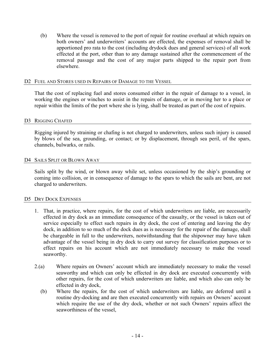(b) Where the vessel is removed to the port of repair for routine overhaul at which repairs on both owners' and underwriters' accounts are effected, the expenses of removal shall be apportioned pro rata to the cost (including drydock dues and general services) of all work effected at the port, other than to any damage sustained after the commencement of the removal passage and the cost of any major parts shipped to the repair port from elsewhere.

# D2 FUEL AND STORES USED IN REPAIRS OF DAMAGE TO THE VESSEL

That the cost of replacing fuel and stores consumed either in the repair of damage to a vessel, in working the engines or winches to assist in the repairs of damage, or in moving her to a place or repair within the limits of the port where she is lying, shall be treated as part of the cost of repairs.

# D3 RIGGING CHAFED

Rigging injured by straining or chafing is not charged to underwriters, unless such injury is caused by blows of the sea, grounding, or contact; or by displacement, through sea peril, of the spars, channels, bulwarks, or rails.

# D4 SAILS SPLIT OR BLOWN AWAY

Sails split by the wind, or blown away while set, unless occasioned by the ship's grounding or coming into collision, or in consequence of damage to the spars to which the sails are bent, are not charged to underwriters.

# D5 DRY DOCK EXPENSES

- 1. That, in practice, where repairs, for the cost of which underwriters are liable, are necessarily effected in dry dock as an immediate consequence of the casualty, or the vessel is taken out of service especially to effect such repairs in dry dock, the cost of entering and leaving the dry dock, in addition to so much of the dock dues as is necessary for the repair of the damage, shall be chargeable in full to the underwriters, notwithstanding that the shipowner may have taken advantage of the vessel being in dry dock to carry out survey for classification purposes or to effect repairs on his account which are not immediately necessary to make the vessel seaworthy.
- 2.(a) Where repairs on Owners' account which are immediately necessary to make the vessel seaworthy and which can only be effected in dry dock are executed concurrently with other repairs, for the cost of which underwriters are liable, and which also can only be effected in dry dock,
	- (b) Where the repairs, for the cost of which underwriters are liable, are deferred until a routine dry-docking and are then executed concurrently with repairs on Owners' account which require the use of the dry dock, whether or not such Owners' repairs affect the seaworthiness of the vessel,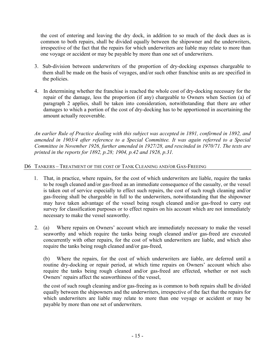the cost of entering and leaving the dry dock, in addition to so much of the dock dues as is common to both repairs, shall be divided equally between the shipowner and the underwriters, irrespective of the fact that the repairs for which underwriters are liable may relate to more than one voyage or accident or may be payable by more than one set of underwriters.

- 3. Sub-division between underwriters of the proportion of dry-docking expenses chargeable to them shall be made on the basis of voyages, and/or such other franchise units as are specified in the policies.
- 4. In determining whether the franchise is reached the whole cost of dry-docking necessary for the repair of the damage, less the proportion (if any) chargeable to Owners when Section (a) of paragraph 2 applies, shall be taken into consideration, notwithstanding that there are other damages to which a portion of the cost of dry-docking has to be apportioned in ascertaining the amount actually recoverable.

*An earlier Rule of Practice dealing with this subject was accepted in 1891, confirmed in 1892, and amended in 1903/4 after reference to a Special Committee. It was again referred to a Special Committee in November 1926, further amended in 1927/28, and rescinded in 1970/71. The texts are printed in the reports for 1892, p.28; 1904, p.42 and 1928, p.31.*

# D6 TANKERS – TREATMENT OF THE COST OF TANK CLEANING AND/OR GAS-FREEING

- 1. That, in practice, where repairs, for the cost of which underwriters are liable, require the tanks to be rough cleaned and/or gas-freed as an immediate consequence of the casualty, or the vessel is taken out of service especially to effect such repairs, the cost of such rough cleaning and/or gas-freeing shall be chargeable in full to the underwriters, notwithstanding that the shipowner may have taken advantage of the vessel being rough cleaned and/or gas-freed to carry out survey for classification purposes or to effect repairs on his account which are not immediately necessary to make the vessel seaworthy.
- 2. (a) Where repairs on Owners' account which are immediately necessary to make the vessel seaworthy and which require the tanks being rough cleaned and/or gas-freed are executed concurrently with other repairs, for the cost of which underwriters are liable, and which also require the tanks being rough cleaned and/or gas-freed,

(b) Where the repairs, for the cost of which underwriters are liable, are deferred until a routine dry-docking or repair period, at which time repairs on Owners' account which also require the tanks being rough cleaned and/or gas-freed are effected, whether or not such Owners' repairs affect the seaworthiness of the vessel,

the cost of such rough cleaning and/or gas-freeing as is common to both repairs shall be divided equally between the shipowners and the underwriters, irrespective of the fact that the repairs for which underwriters are liable may relate to more than one voyage or accident or may be payable by more than one set of underwriters.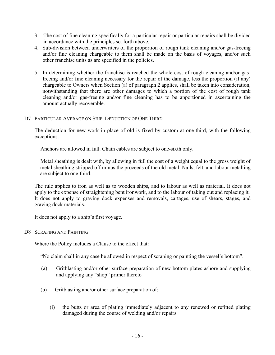- 3. The cost of fine cleaning specifically for a particular repair or particular repairs shall be divided in accordance with the principles set forth above.
- 4. Sub-division between underwriters of the proportion of rough tank cleaning and/or gas-freeing and/or fine cleaning chargeable to them shall be made on the basis of voyages, and/or such other franchise units as are specified in the policies.
- 5. In determining whether the franchise is reached the whole cost of rough cleaning and/or gasfreeing and/or fine cleaning necessary for the repair of the damage, less the proportion (if any) chargeable to Owners when Section (a) of paragraph 2 applies, shall be taken into consideration, notwithstanding that there are other damages to which a portion of the cost of rough tank cleaning and/or gas-freeing and/or fine cleaning has to be apportioned in ascertaining the amount actually recoverable.

# D7 PARTICULAR AVERAGE ON SHIP: DEDUCTION OF ONE THIRD

The deduction for new work in place of old is fixed by custom at one-third, with the following exceptions:

Anchors are allowed in full. Chain cables are subject to one-sixth only.

Metal sheathing is dealt with, by allowing in full the cost of a weight equal to the gross weight of metal sheathing stripped off minus the proceeds of the old metal. Nails, felt, and labour metalling are subject to one-third.

The rule applies to iron as well as to wooden ships, and to labour as well as material. It does not apply to the expense of straightening bent ironwork, and to the labour of taking out and replacing it. It does not apply to graving dock expenses and removals, cartages, use of shears, stages, and graving dock materials.

It does not apply to a ship's first voyage.

# D8 SCRAPING AND PAINTING

Where the Policy includes a Clause to the effect that:

"No claim shall in any case be allowed in respect of scraping or painting the vessel's bottom".

- (a) Gritblasting and/or other surface preparation of new bottom plates ashore and supplying and applying any "shop" primer thereto
- (b) Gritblasting and/or other surface preparation of:
	- (i) the butts or area of plating immediately adjacent to any renewed or refitted plating damaged during the course of welding and/or repairs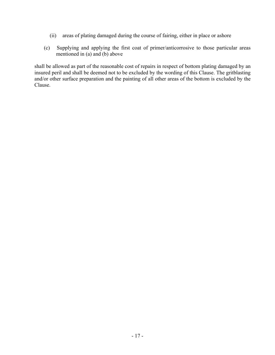- (ii) areas of plating damaged during the course of fairing, either in place or ashore
- (c) Supplying and applying the first coat of primer/anticorrosive to those particular areas mentioned in (a) and (b) above

shall be allowed as part of the reasonable cost of repairs in respect of bottom plating damaged by an insured peril and shall be deemed not to be excluded by the wording of this Clause. The gritblasting and/or other surface preparation and the painting of all other areas of the bottom is excluded by the Clause.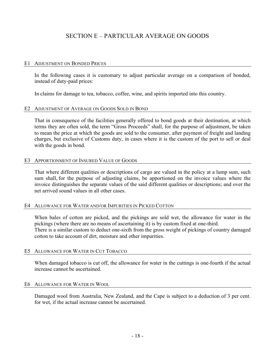# SECTION E – PARTICULAR AVERAGE ON GOODS

# E1 ADJUSTMENT ON BONDED PRICES

In the following cases it is customary to adjust particular average on a comparison of bonded, instead of duty-paid prices:

In claims for damage to tea, tobacco, coffee, wine, and spirits imported into this country.

# E2 ADJUSTMENT OF AVERAGE ON GOODS SOLD IN BOND

That in consequence of the facilities generally offered to bond goods at their destination, at which terms they are often sold, the term "Gross Proceeds" shall, for the purpose of adjustment, be taken to mean the price at which the goods are sold to the consumer, after payment of freight and landing charges, but exclusive of Customs duty, in cases where it is the custom of the port to sell or deal with the goods in bond.

# E3 APPORTIONMENT OF INSURED VALUE OF GOODS

That where different qualities or descriptions of cargo are valued in the policy at a lump sum, such sum shall, for the purpose of adjusting claims, be apportioned on the invoice values where the invoice distinguishes the separate values of the said different qualities or descriptions; and over the net arrived sound values in all other cases.

#### E4 ALLOWANCE FOR WATER AND/OR IMPURITIES IN PICKED COTTON

When bales of cotton are picked, and the pickings are sold wet, the allowance for water in the pickings (where there are no means of ascertaining it) is by custom fixed at one-third. There is a similar custom to deduct one-sixth from the gross weight of pickings of country damaged cotton to take account of dirt, moisture and other impurities.

#### E5 ALLOWANCE FOR WATER IN CUT TOBACCO

When damaged tobacco is cut off, the allowance for water in the cuttings is one-fourth if the actual increase cannot be ascertained.

# E6 ALLOWANCE FOR WATER IN WOOL

Damaged wool from Australia, New Zealand, and the Cape is subject to a deduction of 3 per cent. for wet, if the actual increase cannot be ascertained.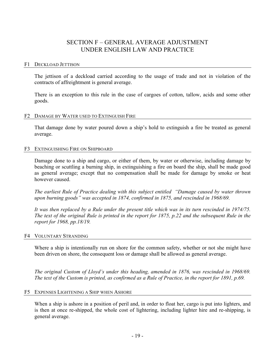# SECTION F – GENERAL AVERAGE ADJUSTMENT UNDER ENGLISH LAW AND PRACTICE

# F1 DECKLOAD JETTISON

The jettison of a deckload carried according to the usage of trade and not in violation of the contracts of affreightment is general average.

There is an exception to this rule in the case of cargoes of cotton, tallow, acids and some other goods.

# F2 DAMAGE BY WATER USED TO EXTINGUISH FIRE

That damage done by water poured down a ship's hold to extinguish a fire be treated as general average.

#### F3 EXTINGUISHING FIRE ON SHIPBOARD

Damage done to a ship and cargo, or either of them, by water or otherwise, including damage by beaching or scuttling a burning ship, in extinguishing a fire on board the ship, shall be made good as general average; except that no compensation shall be made for damage by smoke or heat however caused.

*The earliest Rule of Practice dealing with this subject entitled "Damage caused by water thrown upon burning goods" was accepted in 1874, confirmed in 1875, and rescinded in 1968/69.*

*It was then replaced by a Rule under the present title which was in its turn rescinded in 1974/75. The text of the original Rule is printed in the report for 1875, p.22 and the subsequent Rule in the report for 1968, pp.18/19.*

#### F4 VOLUNTARY STRANDING

Where a ship is intentionally run on shore for the common safety, whether or not she might have been driven on shore, the consequent loss or damage shall be allowed as general average.

*The original Custom of Lloyd's under this heading, amended in 1876, was rescinded in 1968/69. The text of the Custom is printed, as confirmed as a Rule of Practice, in the report for 1891, p.69.*

# F5 EXPENSES LIGHTENING A SHIP WHEN ASHORE

When a ship is ashore in a position of peril and, in order to float her, cargo is put into lighters, and is then at once re-shipped, the whole cost of lightering, including lighter hire and re-shipping, is general average.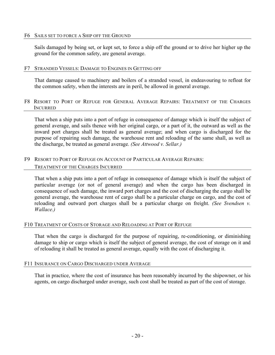# F6 SAILS SET TO FORCE A SHIP OFF THE GROUND

Sails damaged by being set, or kept set, to force a ship off the ground or to drive her higher up the ground for the common safety, are general average.

# F7 STRANDED VESSELS: DAMAGE TO ENGINES IN GETTING OFF

That damage caused to machinery and boilers of a stranded vessel, in endeavouring to refloat for the common safety, when the interests are in peril, be allowed in general average.

# F8 RESORT TO PORT OF REFUGE FOR GENERAL AVERAGE REPAIRS: TREATMENT OF THE CHARGES **INCURRED**

That when a ship puts into a port of refuge in consequence of damage which is itself the subject of general average, and sails thence with her original cargo, or a part of it, the outward as well as the inward port charges shall be treated as general average; and when cargo is discharged for the purpose of repairing such damage, the warehouse rent and reloading of the same shall, as well as the discharge, be treated as general average. *(See Attwood v. Sellar.)*

# F9 RESORT TO PORT OF REFUGE ON ACCOUNT OF PARTICULAR AVERAGE REPAIRS: TREATMENT OF THE CHARGES INCURRED

That when a ship puts into a port of refuge in consequence of damage which is itself the subject of particular average (or not of general average) and when the cargo has been discharged in consequence of such damage, the inward port charges and the cost of discharging the cargo shall be general average, the warehouse rent of cargo shall be a particular charge on cargo, and the cost of reloading and outward port charges shall be a particular charge on freight. *(See Svendsen v. Wallace.)*

# F10 TREATMENT OF COSTS OF STORAGE AND RELOADING AT PORT OF REFUGE

That when the cargo is discharged for the purpose of repairing, re-conditioning, or diminishing damage to ship or cargo which is itself the subject of general average, the cost of storage on it and of reloading it shall be treated as general average, equally with the cost of discharging it.

#### F11 INSURANCE ON CARGO DISCHARGED UNDER AVERAGE

That in practice, where the cost of insurance has been reasonably incurred by the shipowner, or his agents, on cargo discharged under average, such cost shall be treated as part of the cost of storage.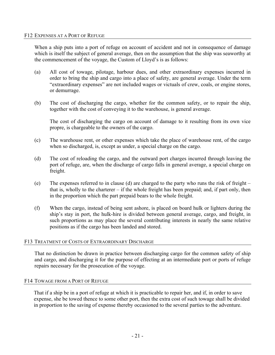# F12 EXPENSES AT A PORT OF REFUGE

When a ship puts into a port of refuge on account of accident and not in consequence of damage which is itself the subject of general average, then on the assumption that the ship was seaworthy at the commencement of the voyage, the Custom of Lloyd's is as follows:

- (a) All cost of towage, pilotage, harbour dues, and other extraordinary expenses incurred in order to bring the ship and cargo into a place of safety, are general average. Under the term "extraordinary expenses" are not included wages or victuals of crew, coals, or engine stores, or demurrage.
- (b) The cost of discharging the cargo, whether for the common safety, or to repair the ship, together with the cost of conveying it to the warehouse, is general average.

The cost of discharging the cargo on account of damage to it resulting from its own vice propre, is chargeable to the owners of the cargo.

- (c) The warehouse rent, or other expenses which take the place of warehouse rent, of the cargo when so discharged, is, except as under, a special charge on the cargo.
- (d) The cost of reloading the cargo, and the outward port charges incurred through leaving the port of refuge, are, when the discharge of cargo falls in general average, a special charge on freight.
- (e) The expenses referred to in clause (d) are charged to the party who runs the risk of freight that is, wholly to the charterer – if the whole freight has been prepaid; and, if part only, then in the proportion which the part prepaid bears to the whole freight.
- (f) When the cargo, instead of being sent ashore, is placed on board hulk or lighters during the ship's stay in port, the hulk-hire is divided between general average, cargo, and freight, in such proportions as may place the several contributing interests in nearly the same relative positions as if the cargo has been landed and stored.

# F13 TREATMENT OF COSTS OF EXTRAORDINARY DISCHARGE

That no distinction be drawn in practice between discharging cargo for the common safety of ship and cargo, and discharging it for the purpose of effecting at an intermediate port or ports of refuge repairs necessary for the prosecution of the voyage.

# F14 TOWAGE FROM A PORT OF REFUGE

That if a ship be in a port of refuge at which it is practicable to repair her, and if, in order to save expense, she be towed thence to some other port, then the extra cost of such towage shall be divided in proportion to the saving of expense thereby occasioned to the several parties to the adventure.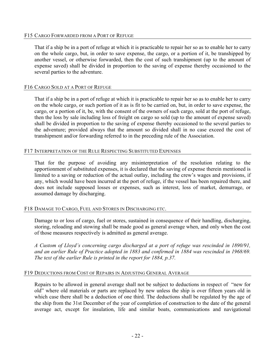# F15 CARGO FORWARDED FROM A PORT OF REFUGE

That if a ship be in a port of refuge at which it is practicable to repair her so as to enable her to carry on the whole cargo, but, in order to save expense, the cargo, or a portion of it, be transhipped by another vessel, or otherwise forwarded, then the cost of such transhipment (up to the amount of expense saved) shall be divided in proportion to the saving of expense thereby occasioned to the several parties to the adventure.

# F16 CARGO SOLD AT A PORT OF REFUGE

That if a ship be in a port of refuge at which it is practicable to repair her so as to enable her to carry on the whole cargo, or such portion of it as is fit to be carried on, but, in order to save expense, the cargo, or a portion of it, be, with the consent of the owners of such cargo, sold at the port of refuge, then the loss by sale including loss of freight on cargo so sold (up to the amount of expense saved) shall be divided in proportion to the saving of expense thereby occasioned to the several parties to the adventure; provided always that the amount so divided shall in no case exceed the cost of transhipment and/or forwarding referred to in the preceding rule of the Association.

# F17 INTERPRETATION OF THE RULE RESPECTING SUBSTITUTED EXPENSES

That for the purpose of avoiding any misinterpretation of the resolution relating to the apportionment of substituted expenses, it is declared that the saving of expense therein mentioned is limited to a saving or reduction of the actual outlay, including the crew's wages and provisions, if any, which would have been incurred at the port of refuge, if the vessel has been repaired there, and does not include supposed losses or expenses, such as interest, loss of market, demurrage, or assumed damage by discharging.

# F18 DAMAGE TO CARGO, FUEL AND STORES IN DISCHARGING ETC.

Damage to or loss of cargo, fuel or stores, sustained in consequence of their handling, discharging, storing, reloading and stowing shall be made good as general average when, and only when the cost of those measures respectively is admitted as general average.

*A Custom of Lloyd's concerning cargo discharged at a port of refuge was rescinded in 1890/91, and an earlier Rule of Practice adopted in 1883 and confirmed in 1884 was rescinded in 1968/69. The text of the earlier Rule is printed in the report for 1884, p.37.*

#### F19 DEDUCTIONS FROM COST OF REPAIRS IN ADJUSTING GENERAL AVERAGE

Repairs to be allowed in general average shall not be subject to deductions in respect of "new for old" where old materials or parts are replaced by new unless the ship is over fifteen years old in which case there shall be a deduction of one third. The deductions shall be regulated by the age of the ship from the 31st December of the year of completion of construction to the date of the general average act, except for insulation, life and similar boats, communications and navigational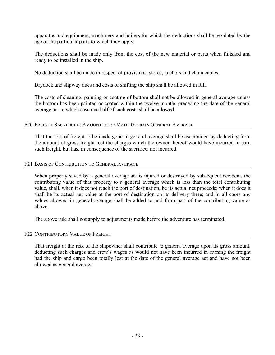apparatus and equipment, machinery and boilers for which the deductions shall be regulated by the age of the particular parts to which they apply.

The deductions shall be made only from the cost of the new material or parts when finished and ready to be installed in the ship.

No deduction shall be made in respect of provisions, stores, anchors and chain cables.

Drydock and slipway dues and costs of shifting the ship shall be allowed in full.

The costs of cleaning, painting or coating of bottom shall not be allowed in general average unless the bottom has been painted or coated within the twelve months preceding the date of the general average act in which case one half of such costs shall be allowed.

# F20 FREIGHT SACRIFICED: AMOUNT TO BE MADE GOOD IN GENERAL AVERAGE

That the loss of freight to be made good in general average shall be ascertained by deducting from the amount of gross freight lost the charges which the owner thereof would have incurred to earn such freight, but has, in consequence of the sacrifice, not incurred.

# F21 BASIS OF CONTRIBUTION TO GENERAL AVERAGE

When property saved by a general average act is injured or destroyed by subsequent accident, the contributing value of that property to a general average which is less than the total contributing value, shall, when it does not reach the port of destination, be its actual net proceeds; when it does it shall be its actual net value at the port of destination on its delivery there; and in all cases any values allowed in general average shall be added to and form part of the contributing value as above.

The above rule shall not apply to adjustments made before the adventure has terminated.

# F22 CONTRIBUTORY VALUE OF FREIGHT

That freight at the risk of the shipowner shall contribute to general average upon its gross amount, deducting such charges and crew's wages as would not have been incurred in earning the freight had the ship and cargo been totally lost at the date of the general average act and have not been allowed as general average.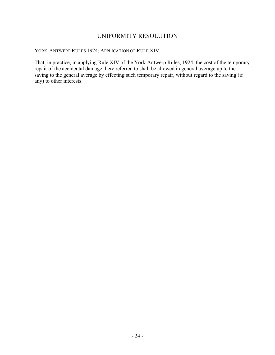# UNIFORMITY RESOLUTION

# YORK-ANTWERP RULES 1924: APPLICATION OF RULE XIV

That, in practice, in applying Rule XIV of the York-Antwerp Rules, 1924, the cost of the temporary repair of the accidental damage there referred to shall be allowed in general average up to the saving to the general average by effecting such temporary repair, without regard to the saving (if any) to other interests.